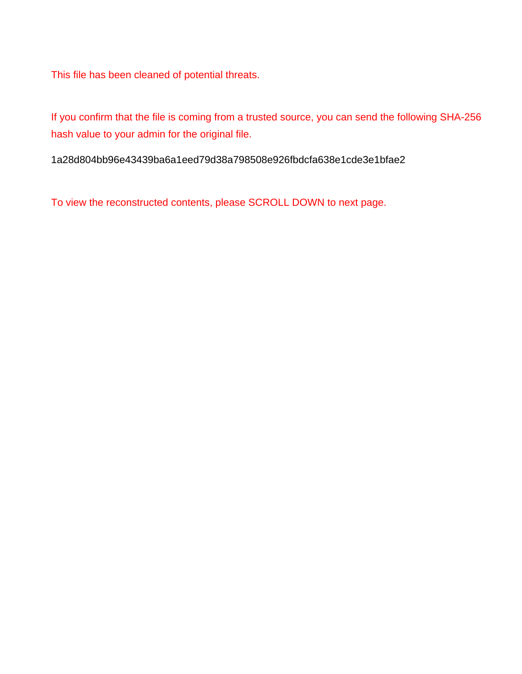This file has been cleaned of potential threats.

If you confirm that the file is coming from a trusted source, you can send the following SHA-256 hash value to your admin for the original file.

1a28d804bb96e43439ba6a1eed79d38a798508e926fbdcfa638e1cde3e1bfae2

To view the reconstructed contents, please SCROLL DOWN to next page.